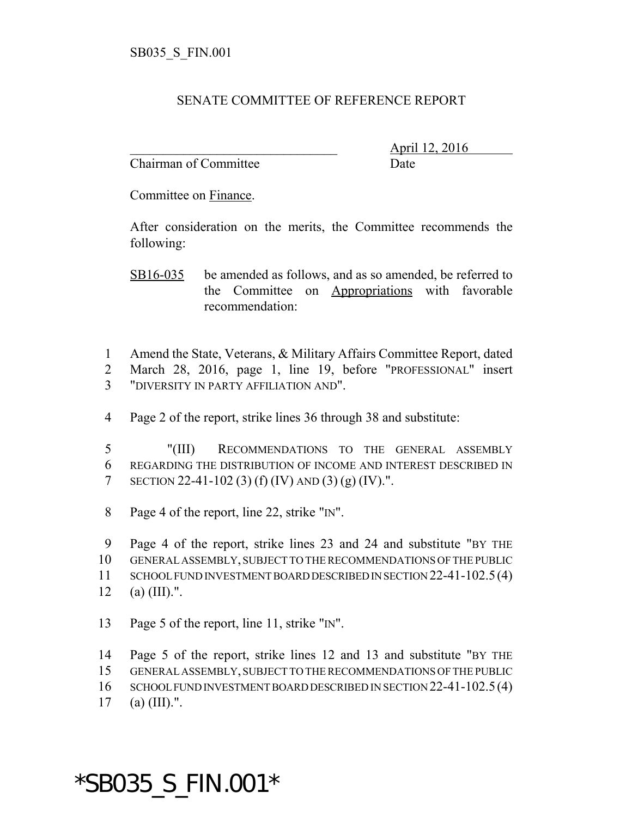## SENATE COMMITTEE OF REFERENCE REPORT

Chairman of Committee **Date** 

\_\_\_\_\_\_\_\_\_\_\_\_\_\_\_\_\_\_\_\_\_\_\_\_\_\_\_\_\_\_\_ April 12, 2016

Committee on Finance.

After consideration on the merits, the Committee recommends the following:

SB16-035 be amended as follows, and as so amended, be referred to the Committee on Appropriations with favorable recommendation:

1 Amend the State, Veterans, & Military Affairs Committee Report, dated 2 March 28, 2016, page 1, line 19, before "PROFESSIONAL" insert 3 "DIVERSITY IN PARTY AFFILIATION AND".

4 Page 2 of the report, strike lines 36 through 38 and substitute:

5 "(III) RECOMMENDATIONS TO THE GENERAL ASSEMBLY 6 REGARDING THE DISTRIBUTION OF INCOME AND INTEREST DESCRIBED IN 7 SECTION 22-41-102 (3) (f) (IV) AND (3) (g) (IV).".

8 Page 4 of the report, line 22, strike "IN".

9 Page 4 of the report, strike lines 23 and 24 and substitute "BY THE

10 GENERAL ASSEMBLY, SUBJECT TO THE RECOMMENDATIONS OF THE PUBLIC

- 11 SCHOOL FUND INVESTMENT BOARD DESCRIBED IN SECTION 22-41-102.5(4)
- 12 (a)  $(III)$ .".
- 13 Page 5 of the report, line 11, strike "IN".

14 Page 5 of the report, strike lines 12 and 13 and substitute "BY THE

15 GENERAL ASSEMBLY, SUBJECT TO THE RECOMMENDATIONS OF THE PUBLIC

16 SCHOOL FUND INVESTMENT BOARD DESCRIBED IN SECTION 22-41-102.5(4)

17 (a)  $(III)$ .".

## \*SB035\_S\_FIN.001\*